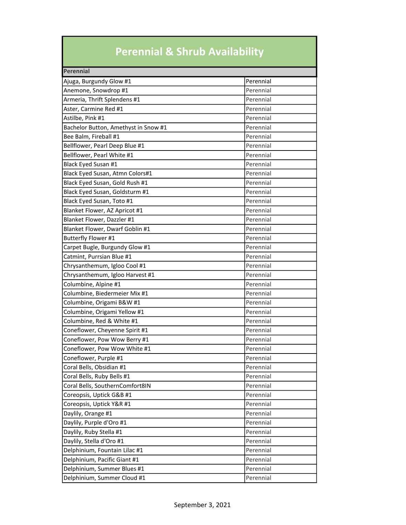## Perennial & Shrub Availability

| Perennial                            |           |
|--------------------------------------|-----------|
| Ajuga, Burgundy Glow #1              | Perennial |
| Anemone, Snowdrop #1                 | Perennial |
| Armeria, Thrift Splendens #1         | Perennial |
| Aster, Carmine Red #1                | Perennial |
| Astilbe, Pink #1                     | Perennial |
| Bachelor Button, Amethyst in Snow #1 | Perennial |
| Bee Balm, Fireball #1                | Perennial |
| Bellflower, Pearl Deep Blue #1       | Perennial |
| Bellflower, Pearl White #1           | Perennial |
| Black Eyed Susan #1                  | Perennial |
| Black Eyed Susan, Atmn Colors#1      | Perennial |
| Black Eyed Susan, Gold Rush #1       | Perennial |
| Black Eyed Susan, Goldsturm #1       | Perennial |
| Black Eyed Susan, Toto #1            | Perennial |
| Blanket Flower, AZ Apricot #1        | Perennial |
| Blanket Flower, Dazzler #1           | Perennial |
| Blanket Flower, Dwarf Goblin #1      | Perennial |
| Butterfly Flower #1                  | Perennial |
| Carpet Bugle, Burgundy Glow #1       | Perennial |
| Catmint, Purrsian Blue #1            | Perennial |
| Chrysanthemum, Igloo Cool #1         | Perennial |
| Chrysanthemum, Igloo Harvest #1      | Perennial |
| Columbine, Alpine #1                 | Perennial |
| Columbine, Biedermeier Mix #1        | Perennial |
| Columbine, Origami B&W #1            | Perennial |
| Columbine, Origami Yellow #1         | Perennial |
| Columbine, Red & White #1            | Perennial |
| Coneflower, Cheyenne Spirit #1       | Perennial |
| Coneflower, Pow Wow Berry #1         | Perennial |
| Coneflower, Pow Wow White #1         | Perennial |
| Coneflower, Purple #1                | Perennial |
| Coral Bells, Obsidian #1             | Perennial |
| Coral Bells, Ruby Bells #1           | Perennial |
| Coral Bells, SouthernComfort8IN      | Perennial |
| Coreopsis, Uptick G&B #1             | Perennial |
| Coreopsis, Uptick Y&R #1             | Perennial |
| Daylily, Orange #1                   | Perennial |
| Daylily, Purple d'Oro #1             | Perennial |
| Daylily, Ruby Stella #1              | Perennial |
| Daylily, Stella d'Oro #1             | Perennial |
| Delphinium, Fountain Lilac #1        | Perennial |
| Delphinium, Pacific Giant #1         | Perennial |
| Delphinium, Summer Blues #1          | Perennial |
| Delphinium, Summer Cloud #1          | Perennial |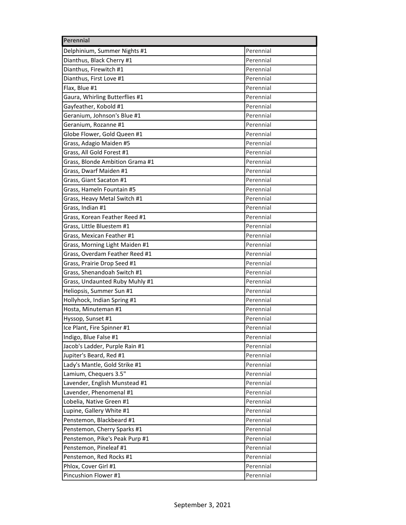| Perennial                       |           |
|---------------------------------|-----------|
| Delphinium, Summer Nights #1    | Perennial |
| Dianthus, Black Cherry #1       | Perennial |
| Dianthus, Firewitch #1          | Perennial |
| Dianthus, First Love #1         | Perennial |
| Flax, Blue #1                   | Perennial |
| Gaura, Whirling Butterflies #1  | Perennial |
| Gayfeather, Kobold #1           | Perennial |
| Geranium, Johnson's Blue #1     | Perennial |
| Geranium, Rozanne #1            | Perennial |
| Globe Flower, Gold Queen #1     | Perennial |
| Grass, Adagio Maiden #5         | Perennial |
| Grass, All Gold Forest #1       | Perennial |
| Grass, Blonde Ambition Grama #1 | Perennial |
| Grass, Dwarf Maiden #1          | Perennial |
| Grass, Giant Sacaton #1         | Perennial |
| Grass, Hameln Fountain #5       | Perennial |
| Grass, Heavy Metal Switch #1    | Perennial |
| Grass, Indian #1                | Perennial |
| Grass, Korean Feather Reed #1   | Perennial |
| Grass, Little Bluestem #1       | Perennial |
| Grass, Mexican Feather #1       | Perennial |
| Grass, Morning Light Maiden #1  | Perennial |
| Grass, Overdam Feather Reed #1  | Perennial |
| Grass, Prairie Drop Seed #1     | Perennial |
| Grass, Shenandoah Switch #1     | Perennial |
| Grass, Undaunted Ruby Muhly #1  | Perennial |
| Heliopsis, Summer Sun #1        | Perennial |
| Hollyhock, Indian Spring #1     | Perennial |
| Hosta, Minuteman #1             | Perennial |
| Hyssop, Sunset #1               | Perennial |
| Ice Plant, Fire Spinner #1      | Perennial |
| Indigo, Blue False #1           | Perennial |
| Jacob's Ladder, Purple Rain #1  | Perennial |
| Jupiter's Beard, Red #1         | Perennial |
| Lady's Mantle, Gold Strike #1   | Perennial |
| Lamium, Chequers 3.5"           | Perennial |
| Lavender, English Munstead #1   | Perennial |
| Lavender, Phenomenal #1         | Perennial |
| Lobelia, Native Green #1        | Perennial |
| Lupine, Gallery White #1        | Perennial |
| Penstemon, Blackbeard #1        | Perennial |
| Penstemon, Cherry Sparks #1     | Perennial |
| Penstemon, Pike's Peak Purp #1  | Perennial |
| Penstemon, Pineleaf #1          | Perennial |
| Penstemon, Red Rocks #1         | Perennial |
| Phlox, Cover Girl #1            | Perennial |
| Pincushion Flower #1            | Perennial |
|                                 |           |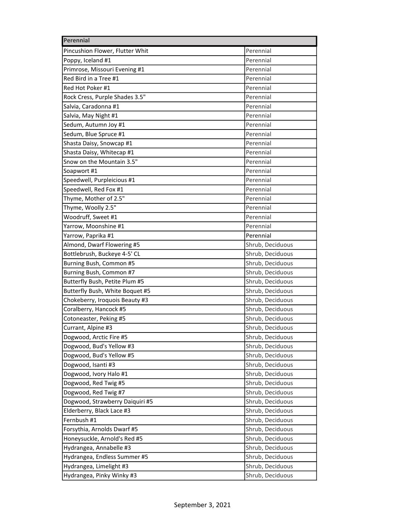| Perennial        |  |  |
|------------------|--|--|
| Perennial        |  |  |
| Perennial        |  |  |
| Perennial        |  |  |
| Perennial        |  |  |
| Perennial        |  |  |
| Perennial        |  |  |
| Perennial        |  |  |
| Perennial        |  |  |
| Perennial        |  |  |
| Perennial        |  |  |
| Perennial        |  |  |
| Perennial        |  |  |
| Perennial        |  |  |
| Perennial        |  |  |
| Perennial        |  |  |
| Perennial        |  |  |
| Perennial        |  |  |
| Perennial        |  |  |
| Perennial        |  |  |
| Perennial        |  |  |
| Perennial        |  |  |
| Shrub, Deciduous |  |  |
| Shrub, Deciduous |  |  |
| Shrub, Deciduous |  |  |
| Shrub, Deciduous |  |  |
| Shrub, Deciduous |  |  |
| Shrub, Deciduous |  |  |
| Shrub, Deciduous |  |  |
| Shrub, Deciduous |  |  |
| Shrub, Deciduous |  |  |
| Shrub, Deciduous |  |  |
| Shrub, Deciduous |  |  |
| Shrub, Deciduous |  |  |
| Shrub, Deciduous |  |  |
| Shrub, Deciduous |  |  |
| Shrub, Deciduous |  |  |
| Shrub, Deciduous |  |  |
| Shrub, Deciduous |  |  |
| Shrub, Deciduous |  |  |
| Shrub, Deciduous |  |  |
| Shrub, Deciduous |  |  |
| Shrub, Deciduous |  |  |
| Shrub, Deciduous |  |  |
| Shrub, Deciduous |  |  |
| Shrub, Deciduous |  |  |
| Shrub, Deciduous |  |  |
| Shrub, Deciduous |  |  |
|                  |  |  |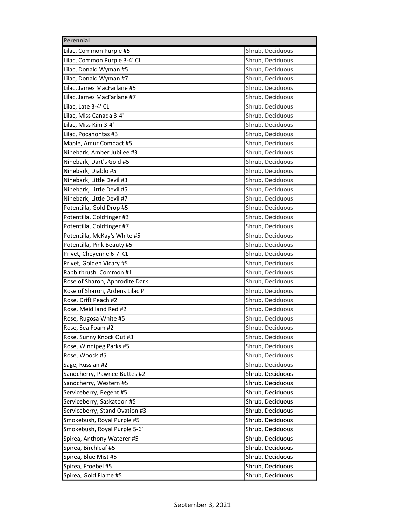| Perennial                       |                  |  |
|---------------------------------|------------------|--|
| Lilac, Common Purple #5         | Shrub, Deciduous |  |
| Lilac, Common Purple 3-4' CL    | Shrub, Deciduous |  |
| Lilac, Donald Wyman #5          | Shrub, Deciduous |  |
| Lilac, Donald Wyman #7          | Shrub, Deciduous |  |
| Lilac, James MacFarlane #5      | Shrub, Deciduous |  |
| Lilac, James MacFarlane #7      | Shrub, Deciduous |  |
| Lilac, Late 3-4' CL             | Shrub, Deciduous |  |
| Lilac, Miss Canada 3-4'         | Shrub, Deciduous |  |
| Lilac, Miss Kim 3-4'            | Shrub, Deciduous |  |
| Lilac, Pocahontas #3            | Shrub, Deciduous |  |
| Maple, Amur Compact #5          | Shrub, Deciduous |  |
| Ninebark, Amber Jubilee #3      | Shrub, Deciduous |  |
| Ninebark, Dart's Gold #5        | Shrub, Deciduous |  |
| Ninebark, Diablo #5             | Shrub, Deciduous |  |
| Ninebark, Little Devil #3       | Shrub, Deciduous |  |
| Ninebark, Little Devil #5       | Shrub, Deciduous |  |
| Ninebark, Little Devil #7       | Shrub, Deciduous |  |
| Potentilla, Gold Drop #5        | Shrub, Deciduous |  |
| Potentilla, Goldfinger #3       | Shrub, Deciduous |  |
| Potentilla, Goldfinger #7       | Shrub, Deciduous |  |
| Potentilla, McKay's White #5    | Shrub, Deciduous |  |
| Potentilla, Pink Beauty #5      | Shrub, Deciduous |  |
| Privet, Cheyenne 6-7' CL        | Shrub, Deciduous |  |
| Privet, Golden Vicary #5        | Shrub, Deciduous |  |
| Rabbitbrush, Common #1          | Shrub, Deciduous |  |
| Rose of Sharon, Aphrodite Dark  | Shrub, Deciduous |  |
| Rose of Sharon, Ardens Lilac Pi | Shrub, Deciduous |  |
| Rose, Drift Peach #2            | Shrub, Deciduous |  |
| Rose, Meidiland Red #2          | Shrub, Deciduous |  |
| Rose, Rugosa White #5           | Shrub, Deciduous |  |
| Rose, Sea Foam #2               | Shrub, Deciduous |  |
| Rose, Sunny Knock Out #3        | Shrub, Deciduous |  |
| Rose, Winnipeg Parks #5         | Shrub, Deciduous |  |
| Rose, Woods #5                  | Shrub, Deciduous |  |
| Sage, Russian #2                | Shrub, Deciduous |  |
| Sandcherry, Pawnee Buttes #2    | Shrub, Deciduous |  |
| Sandcherry, Western #5          | Shrub, Deciduous |  |
| Serviceberry, Regent #5         | Shrub, Deciduous |  |
| Serviceberry, Saskatoon #5      | Shrub, Deciduous |  |
| Serviceberry, Stand Ovation #3  | Shrub, Deciduous |  |
| Smokebush, Royal Purple #5      | Shrub, Deciduous |  |
| Smokebush, Royal Purple 5-6'    | Shrub, Deciduous |  |
| Spirea, Anthony Waterer #5      | Shrub, Deciduous |  |
| Spirea, Birchleaf #5            | Shrub, Deciduous |  |
| Spirea, Blue Mist #5            | Shrub, Deciduous |  |
| Spirea, Froebel #5              | Shrub, Deciduous |  |
| Spirea, Gold Flame #5           | Shrub, Deciduous |  |